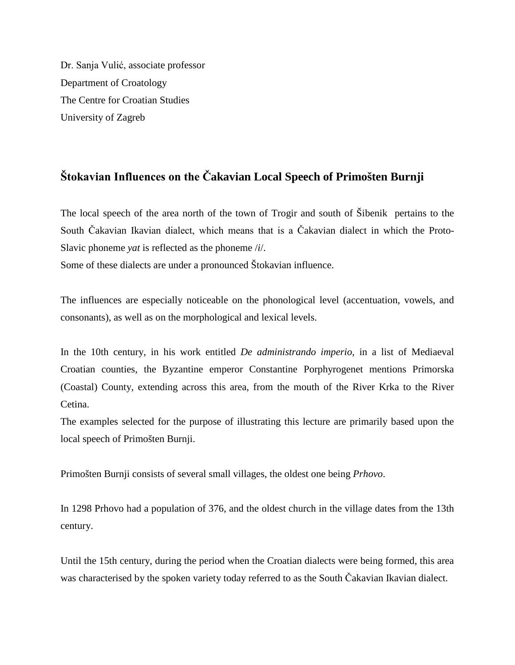Dr. Sanja Vulić, associate professor Department of Croatology The Centre for Croatian Studies University of Zagreb

## **Štokavian Influences on the Čakavian Local Speech of Primošten Burnji**

The local speech of the area north of the town of Trogir and south of Šibenik pertains to the South Čakavian Ikavian dialect, which means that is a Čakavian dialect in which the Proto-Slavic phoneme *yat* is reflected as the phoneme /*i*/.

Some of these dialects are under a pronounced Štokavian influence.

The influences are especially noticeable on the phonological level (accentuation, vowels, and consonants), as well as on the morphological and lexical levels.

In the 10th century, in his work entitled *De administrando imperio,* in a list of Mediaeval Croatian counties, the Byzantine emperor Constantine Porphyrogenet mentions Primorska (Coastal) County, extending across this area, from the mouth of the River Krka to the River Cetina.

The examples selected for the purpose of illustrating this lecture are primarily based upon the local speech of Primošten Burnji.

Primošten Burnji consists of several small villages, the oldest one being *Prhovo*.

In 1298 Prhovo had a population of 376, and the oldest church in the village dates from the 13th century.

Until the 15th century, during the period when the Croatian dialects were being formed, this area was characterised by the spoken variety today referred to as the South Čakavian Ikavian dialect.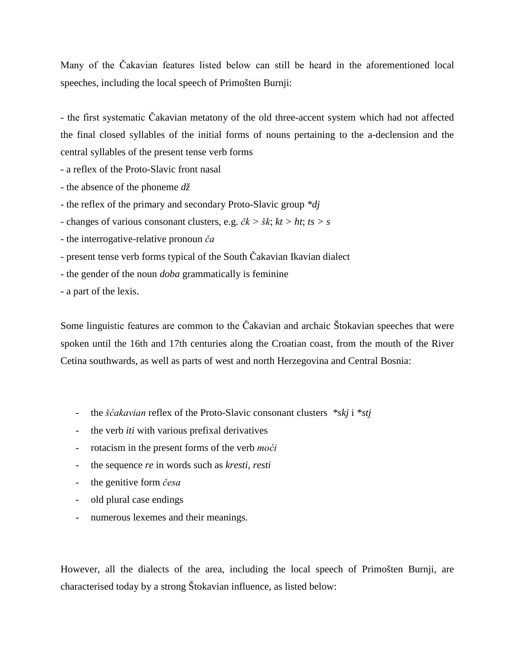Many of the Čakavian features listed below can still be heard in the aforementioned local speeches, including the local speech of Primošten Burnji:

- the first systematic Čakavian metatony of the old three-accent system which had not affected the final closed syllables of the initial forms of nouns pertaining to the a-declension and the central syllables of the present tense verb forms

- a reflex of the Proto-Slavic front nasal

- the absence of the phoneme *dž*

- the reflex of the primary and secondary Proto-Slavic group *\*dj*

- changes of various consonant clusters, e.g. *čk > šk*; *kt > ht*; *ts > s*

- the interrogative-relative pronoun *ča*

- present tense verb forms typical of the South Čakavian Ikavian dialect

- the gender of the noun *doba* grammatically is feminine

- a part of the lexis.

Some linguistic features are common to the Čakavian and archaic Štokavian speeches that were spoken until the 16th and 17th centuries along the Croatian coast, from the mouth of the River Cetina southwards, as well as parts of west and north Herzegovina and Central Bosnia:

- the *šćakavian* reflex of the Proto-Slavic consonant clusters *\*skj* i *\*stj*
- the verb *iti* with various prefixal derivatives
- rotacism in the present forms of the verb *moći*
- the sequence *re* in words such as *kresti*, *resti*
- the genitive form *česa*
- old plural case endings
- numerous lexemes and their meanings.

However, all the dialects of the area, including the local speech of Primošten Burnji, are characterised today by a strong Štokavian influence, as listed below: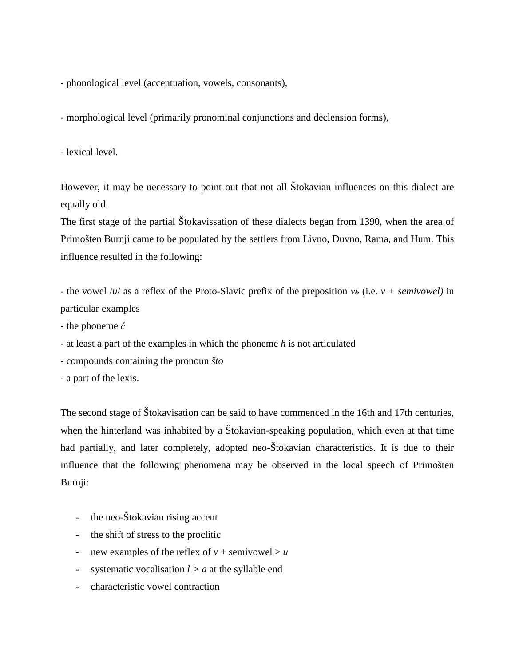- phonological level (accentuation, vowels, consonants),

- morphological level (primarily pronominal conjunctions and declension forms),

- lexical level.

However, it may be necessary to point out that not all Štokavian influences on this dialect are equally old.

The first stage of the partial Štokavissation of these dialects began from 1390, when the area of Primošten Burnji came to be populated by the settlers from Livno, Duvno, Rama, and Hum. This influence resulted in the following:

- the vowel /*u*/ as a reflex of the Proto-Slavic prefix of the preposition *vь* (i.e. *v + semivowel)* in particular examples

- the phoneme *ć*
- at least a part of the examples in which the phoneme *h* is not articulated
- compounds containing the pronoun *što*
- a part of the lexis.

The second stage of Štokavisation can be said to have commenced in the 16th and 17th centuries, when the hinterland was inhabited by a Štokavian-speaking population, which even at that time had partially, and later completely, adopted neo-Štokavian characteristics. It is due to their influence that the following phenomena may be observed in the local speech of Primošten Burnji:

- the neo-Štokavian rising accent
- the shift of stress to the proclitic
- new examples of the reflex of  $v +$  semivowel  $> u$
- systematic vocalisation  $l > a$  at the syllable end
- characteristic vowel contraction